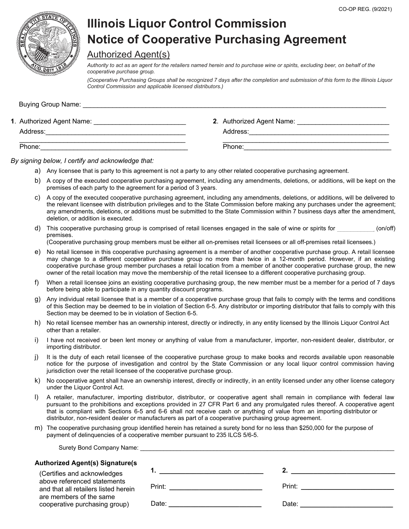

# **Illinois Liquor Control Commission Notice of Cooperative Purchasing Agreement**

### Authorized Agent(s)

*Authority to act as an agent for the retailers named herein and to purchase wine or spirits, excluding beer, on behalf of the cooperative purchase group.* 

*(Cooperative Purchasing Groups shall be recognized 7 days after the completion and submission of this form to the Illinois Liquor Control Commission and applicable licensed distributors.)*

| Buying Group Name:        |                           |
|---------------------------|---------------------------|
| 1. Authorized Agent Name: | 2. Authorized Agent Name: |
| Address:                  | Address:                  |
| Phone:                    | Phone:                    |

*By signing below, I certify and acknowledge that:* 

- a) Any licensee that is party to this agreement is not a party to any other related cooperative purchasing agreement.
- b) A copy of the executed cooperative purchasing agreement, including any amendments, deletions, or additions, will be kept on the premises of each party to the agreement for a period of 3 years.
- c) A copy of the executed cooperative purchasing agreement, including any amendments, deletions, or additions, will be delivered to the relevant licensee with distribution privileges and to the State Commission before making any purchases under the agreement; any amendments, deletions, or additions must be submitted to the State Commission within 7 business days after the amendment, deletion, or addition is executed.
- d) This cooperative purchasing group is comprised of retail licenses engaged in the sale of wine or spirits for  $(on/off)$ premises.

(Cooperative purchasing group members must be either all on-premises retail licensees or all off-premises retail licensees.)

- e) No retail licensee in this cooperative purchasing agreement is a member of another cooperative purchase group. A retail licensee may change to a different cooperative purchase group no more than twice in a 12-month period. However, if an existing cooperative purchase group member purchases a retail location from a member of another cooperative purchase group, the new owner of the retail location may move the membership of the retail licensee to a different cooperative purchasing group.
- f) When a retail licensee joins an existing cooperative purchasing group, the new member must be a member for a period of 7 days before being able to participate in any quantity discount programs.
- g) Any individual retail licensee that is a member of a cooperative purchase group that fails to comply with the terms and conditions of this Section may be deemed to be in violation of Section 6-5. Any distributor or importing distributor that fails to comply with this Section may be deemed to be in violation of Section 6-5.
- h) No retail licensee member has an ownership interest, directly or indirectly, in any entity licensed by the Illinois Liquor Control Act other than a retailer.
- i) I have not received or been lent money or anything of value from a manufacturer, importer, non-resident dealer, distributor, or importing distributor.
- j) It is the duty of each retail licensee of the cooperative purchase group to make books and records available upon reasonable notice for the purpose of investigation and control by the State Commission or any local liquor control commission having jurisdiction over the retail licensee of the cooperative purchase group.
- k) No cooperative agent shall have an ownership interest, directly or indirectly, in an entity licensed under any other license category under the Liquor Control Act.
- l) A retailer, manufacturer, importing distributor, distributor, or cooperative agent shall remain in compliance with federal law pursuant to the prohibitions and exceptions provided in 27 CFR Part 6 and any promulgated rules thereof. A cooperative agent that is compliant with Sections 6-5 and 6-6 shall not receive cash or anything of value from an importing distributor or distributor, non-resident dealer or manufacturers as part of a cooperative purchasing group agreement.
- m) The cooperative purchasing group identified herein has retained a surety bond for no less than \$250,000 for the purpose of payment of delinquencies of a cooperative member pursuant to 235 ILCS 5/6-5.

| Surety Bond Company Name: Surety Bond Company Name: | 1. The contract of $\mathcal{L}$ is the contract of $\mathcal{L}$<br>Print: ________________________<br><b>Print:</b> Print: Print: Print: Print: Print: Print: Print: Print: Print: Print: Print: Print: Print: Print: Print: Print: Print: Print: Print: Print: Print: Print: Print: Print: Print: Print: Print: Print: Print: Print: Pri<br>Date: _____________________________<br>Date: <u>_____________________</u> |
|-----------------------------------------------------|--------------------------------------------------------------------------------------------------------------------------------------------------------------------------------------------------------------------------------------------------------------------------------------------------------------------------------------------------------------------------------------------------------------------------|